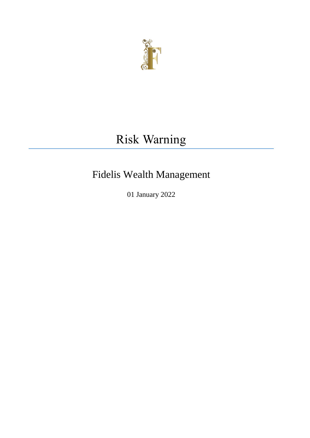

# Risk Warning

# Fidelis Wealth Management

01 January 2022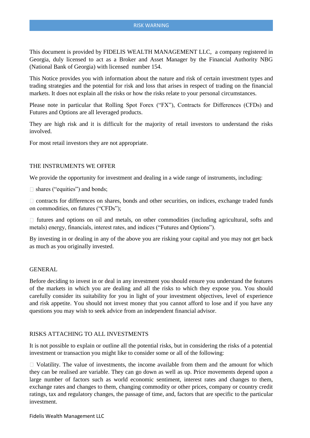This document is provided by FIDELIS WEALTH MANAGEMENT LLC, a company registered in Georgia, duly licensed to act as a Broker and Asset Manager by the Financial Authority NBG (National Bank of Georgia) with licensed number 154.

This Notice provides you with information about the nature and risk of certain investment types and trading strategies and the potential for risk and loss that arises in respect of trading on the financial markets. It does not explain all the risks or how the risks relate to your personal circumstances.

Please note in particular that Rolling Spot Forex ("FX"), Contracts for Differences (CFDs) and Futures and Options are all leveraged products.

They are high risk and it is difficult for the majority of retail investors to understand the risks involved.

For most retail investors they are not appropriate.

# THE INSTRUMENTS WE OFFER

We provide the opportunity for investment and dealing in a wide range of instruments, including:

 $\Box$  shares ("equities") and bonds;

 $\Box$  contracts for differences on shares, bonds and other securities, on indices, exchange traded funds on commodities, on futures ("CFDs");

 $\Box$  futures and options on oil and metals, on other commodities (including agricultural, softs and metals) energy, financials, interest rates, and indices ("Futures and Options").

By investing in or dealing in any of the above you are risking your capital and you may not get back as much as you originally invested.

#### GENERAL

Before deciding to invest in or deal in any investment you should ensure you understand the features of the markets in which you are dealing and all the risks to which they expose you. You should carefully consider its suitability for you in light of your investment objectives, level of experience and risk appetite. You should not invest money that you cannot afford to lose and if you have any questions you may wish to seek advice from an independent financial advisor.

# RISKS ATTACHING TO ALL INVESTMENTS

It is not possible to explain or outline all the potential risks, but in considering the risks of a potential investment or transaction you might like to consider some or all of the following:

 $\Box$  Volatility. The value of investments, the income available from them and the amount for which they can be realised are variable. They can go down as well as up. Price movements depend upon a large number of factors such as world economic sentiment, interest rates and changes to them, exchange rates and changes to them, changing commodity or other prices, company or country credit ratings, tax and regulatory changes, the passage of time, and, factors that are specific to the particular investment.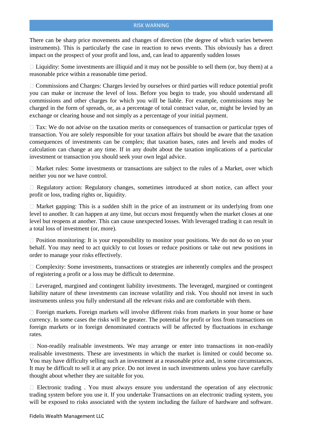There can be sharp price movements and changes of direction (the degree of which varies between instruments). This is particularly the case in reaction to news events. This obviously has a direct impact on the prospect of your profit and loss, and, can lead to apparently sudden losses

 $\Box$  Liquidity: Some investments are illiquid and it may not be possible to sell them (or, buy them) at a reasonable price within a reasonable time period.

 $\Box$  Commissions and Charges: Charges levied by ourselves or third parties will reduce potential profit you can make or increase the level of loss. Before you begin to trade, you should understand all commissions and other charges for which you will be liable. For example, commissions may be charged in the form of spreads, or, as a percentage of total contract value, or, might be levied by an exchange or clearing house and not simply as a percentage of your initial payment.

□ Tax: We do not advise on the taxation merits or consequences of transaction or particular types of transaction. You are solely responsible for your taxation affairs but should be aware that the taxation consequences of investments can be complex; that taxation bases, rates and levels and modes of calculation can change at any time. If in any doubt about the taxation implications of a particular investment or transaction you should seek your own legal advice.

Market rules: Some investments or transactions are subject to the rules of a Market, over which neither you nor we have control.

Regulatory action: Regulatory changes, sometimes introduced at short notice, can affect your profit or loss, trading rights or, liquidity.

 $\Box$  Market gapping: This is a sudden shift in the price of an instrument or its underlying from one level to another. It can happen at any time, but occurs most frequently when the market closes at one level but reopens at another. This can cause unexpected losses. With leveraged trading it can result in a total loss of investment (or, more).

 $\Box$  Position monitoring: It is your responsibility to monitor your positions. We do not do so on your behalf. You may need to act quickly to cut losses or reduce positions or take out new positions in order to manage your risks effectively.

 $\Box$  Complexity: Some investments, transactions or strategies are inherently complex and the prospect of registering a profit or a loss may be difficult to determine.

 $\Box$  Leveraged, margined and contingent liability investments. The leveraged, margined or contingent liability nature of these investments can increase volatility and risk. You should not invest in such instruments unless you fully understand all the relevant risks and are comfortable with them.

 $\Box$  Foreign markets. Foreign markets will involve different risks from markets in your home or base currency. In some cases the risks will be greater. The potential for profit or loss from transactions on foreign markets or in foreign denominated contracts will be affected by fluctuations in exchange rates.

 $\Box$  Non-readily realisable investments. We may arrange or enter into transactions in non-readily realisable investments. These are investments in which the market is limited or could become so. You may have difficulty selling such an investment at a reasonable price and, in some circumstances. It may be difficult to sell it at any price. Do not invest in such investments unless you have carefully thought about whether they are suitable for you.

 $\Box$  Electronic trading . You must always ensure you understand the operation of any electronic trading system before you use it. If you undertake Transactions on an electronic trading system, you will be exposed to risks associated with the system including the failure of hardware and software.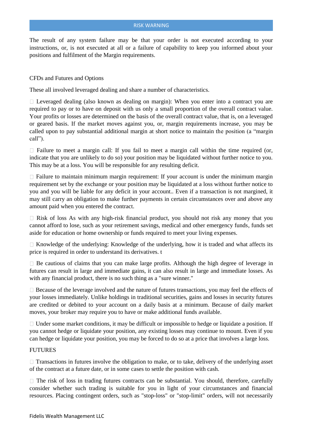The result of any system failure may be that your order is not executed according to your instructions, or, is not executed at all or a failure of capability to keep you informed about your positions and fulfilment of the Margin requirements.

# CFDs and Futures and Options

These all involved leveraged dealing and share a number of characteristics.

 $\Box$  Leveraged dealing (also known as dealing on margin): When you enter into a contract you are required to pay or to have on deposit with us only a small proportion of the overall contract value. Your profits or losses are determined on the basis of the overall contract value, that is, on a leveraged or geared basis. If the market moves against you, or, margin requirements increase, you may be called upon to pay substantial additional margin at short notice to maintain the position (a "margin call").

 $\Box$  Failure to meet a margin call: If you fail to meet a margin call within the time required (or, indicate that you are unlikely to do so) your position may be liquidated without further notice to you. This may be at a loss. You will be responsible for any resulting deficit.

 $\Box$  Failure to maintain minimum margin requirement: If your account is under the minimum margin requirement set by the exchange or your position may be liquidated at a loss without further notice to you and you will be liable for any deficit in your account.. Even if a transaction is not margined, it may still carry an obligation to make further payments in certain circumstances over and above any amount paid when you entered the contract.

 $\Box$  Risk of loss As with any high-risk financial product, you should not risk any money that you cannot afford to lose, such as your retirement savings, medical and other emergency funds, funds set aside for education or home ownership or funds required to meet your living expenses.

 $\Box$  Knowledge of the underlying: Knowledge of the underlying, how it is traded and what affects its price is required in order to understand its derivatives. t

 $\Box$  Be cautious of claims that you can make large profits. Although the high degree of leverage in futures can result in large and immediate gains, it can also result in large and immediate losses. As with any financial product, there is no such thing as a "sure winner."

 $\Box$  Because of the leverage involved and the nature of futures transactions, you may feel the effects of your losses immediately. Unlike holdings in traditional securities, gains and losses in security futures are credited or debited to your account on a daily basis at a minimum. Because of daily market moves, your broker may require you to have or make additional funds available.

 $\Box$  Under some market conditions, it may be difficult or impossible to hedge or liquidate a position. If you cannot hedge or liquidate your position, any existing losses may continue to mount. Even if you can hedge or liquidate your position, you may be forced to do so at a price that involves a large loss.

# FUTURES

 $\Box$  Transactions in futures involve the obligation to make, or to take, delivery of the underlying asset of the contract at a future date, or in some cases to settle the position with cash.

 $\Box$  The risk of loss in trading futures contracts can be substantial. You should, therefore, carefully consider whether such trading is suitable for you in light of your circumstances and financial resources. Placing contingent orders, such as "stop-loss" or "stop-limit" orders, will not necessarily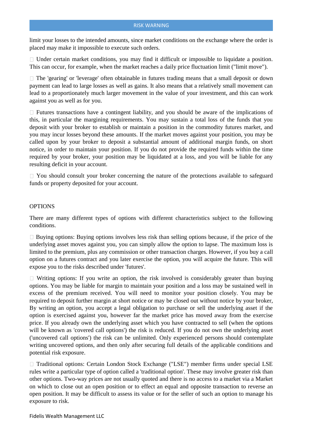limit your losses to the intended amounts, since market conditions on the exchange where the order is placed may make it impossible to execute such orders.

Under certain market conditions, you may find it difficult or impossible to liquidate a position. This can occur, for example, when the market reaches a daily price fluctuation limit ("limit move").

 $\Box$  The 'gearing' or 'leverage' often obtainable in futures trading means that a small deposit or down payment can lead to large losses as well as gains. It also means that a relatively small movement can lead to a proportionately much larger movement in the value of your investment, and this can work against you as well as for you.

 $\Box$  Futures transactions have a contingent liability, and you should be aware of the implications of this, in particular the margining requirements. You may sustain a total loss of the funds that you deposit with your broker to establish or maintain a position in the commodity futures market, and you may incur losses beyond these amounts. If the market moves against your position, you may be called upon by your broker to deposit a substantial amount of additional margin funds, on short notice, in order to maintain your position. If you do not provide the required funds within the time required by your broker, your position may be liquidated at a loss, and you will be liable for any resulting deficit in your account.

 $\Box$  You should consult your broker concerning the nature of the protections available to safeguard funds or property deposited for your account.

#### OPTIONS

There are many different types of options with different characteristics subject to the following conditions.

Buying options: Buying options involves less risk than selling options because, if the price of the underlying asset moves against you, you can simply allow the option to lapse. The maximum loss is limited to the premium, plus any commission or other transaction charges. However, if you buy a call option on a futures contract and you later exercise the option, you will acquire the future. This will expose you to the risks described under 'futures'.

 $\Box$  Writing options: If you write an option, the risk involved is considerably greater than buying options. You may be liable for margin to maintain your position and a loss may be sustained well in excess of the premium received. You will need to monitor your position closely. You may be required to deposit further margin at short notice or may be closed out without notice by your broker, By writing an option, you accept a legal obligation to purchase or sell the underlying asset if the option is exercised against you, however far the market price has moved away from the exercise price. If you already own the underlying asset which you have contracted to sell (when the options will be known as 'covered call options') the risk is reduced. If you do not own the underlying asset ('uncovered call options') the risk can be unlimited. Only experienced persons should contemplate writing uncovered options, and then only after securing full details of the applicable conditions and potential risk exposure.

 $\Box$  Traditional options: Certain London Stock Exchange ("LSE") member firms under special LSE rules write a particular type of option called a 'traditional option'. These may involve greater risk than other options. Two-way prices are not usually quoted and there is no access to a market via a Market on which to close out an open position or to effect an equal and opposite transaction to reverse an open position. It may be difficult to assess its value or for the seller of such an option to manage his exposure to risk.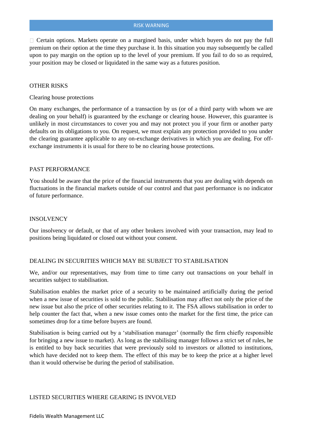$\Box$  Certain options. Markets operate on a margined basis, under which buyers do not pay the full premium on their option at the time they purchase it. In this situation you may subsequently be called upon to pay margin on the option up to the level of your premium. If you fail to do so as required, your position may be closed or liquidated in the same way as a futures position.

### OTHER RISKS

Clearing house protections

On many exchanges, the performance of a transaction by us (or of a third party with whom we are dealing on your behalf) is guaranteed by the exchange or clearing house. However, this guarantee is unlikely in most circumstances to cover you and may not protect you if your firm or another party defaults on its obligations to you. On request, we must explain any protection provided to you under the clearing guarantee applicable to any on-exchange derivatives in which you are dealing. For offexchange instruments it is usual for there to be no clearing house protections.

#### PAST PERFORMANCE

You should be aware that the price of the financial instruments that you are dealing with depends on fluctuations in the financial markets outside of our control and that past performance is no indicator of future performance.

# **INSOLVENCY**

Our insolvency or default, or that of any other brokers involved with your transaction, may lead to positions being liquidated or closed out without your consent.

# DEALING IN SECURITIES WHICH MAY BE SUBJECT TO STABILISATION

We, and/or our representatives, may from time to time carry out transactions on your behalf in securities subject to stabilisation.

Stabilisation enables the market price of a security to be maintained artificially during the period when a new issue of securities is sold to the public. Stabilisation may affect not only the price of the new issue but also the price of other securities relating to it. The FSA allows stabilisation in order to help counter the fact that, when a new issue comes onto the market for the first time, the price can sometimes drop for a time before buyers are found.

Stabilisation is being carried out by a 'stabilisation manager' (normally the firm chiefly responsible for bringing a new issue to market). As long as the stabilising manager follows a strict set of rules, he is entitled to buy back securities that were previously sold to investors or allotted to institutions, which have decided not to keep them. The effect of this may be to keep the price at a higher level than it would otherwise be during the period of stabilisation.

# LISTED SECURITIES WHERE GEARING IS INVOLVED